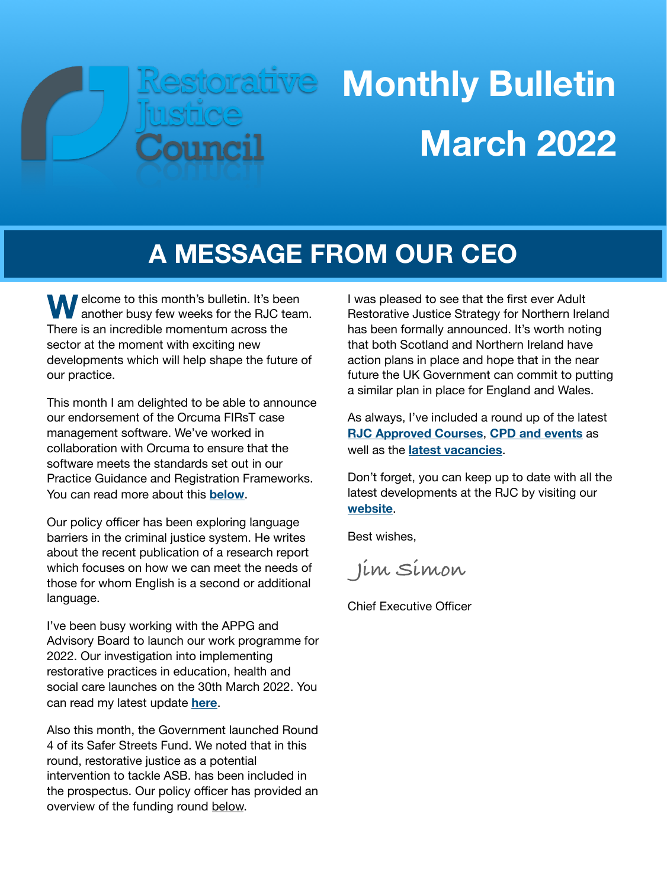# Restorative

## **Monthly Bulletin March 2022**

## **A MESSAGE FROM OUR CEO**

**W** elcome to this month's bulletin. It's been another busy few weeks for the RJC team. There is an incredible momentum across the sector at the moment with exciting new developments which will help shape the future of our practice.

This month I am delighted to be able to announce our endorsement of the Orcuma FIRsT case management software. We've worked in collaboration with Orcuma to ensure that the software meets the standards set out in our Practice Guidance and Registration Frameworks. You can read more about this **[below](#page-1-0)**.

Our policy officer has been exploring language barriers in the criminal justice system. He writes about the recent publication of a research report which focuses on how we can meet the needs of those for whom English is a second or additional language.

I've been busy working with the APPG and Advisory Board to launch our work programme for 2022. Our investigation into implementing restorative practices in education, health and social care launches on the 30th March 2022. You can read my latest update **[here](#page-2-0)**.

Also this month, the Government launched Round 4 of its Safer Streets Fund. We noted that in this round, restorative justice as a potential intervention to tackle ASB. has been included in the prospectus. Our policy officer has provided an overview of the funding round [below.](#page-3-0)

I was pleased to see that the first ever Adult Restorative Justice Strategy for Northern Ireland has been formally announced. It's worth noting that both Scotland and Northern Ireland have action plans in place and hope that in the near future the UK Government can commit to putting a similar plan in place for England and Wales.

As always, I've included a round up of the latest **[RJC Approved Courses](#page-5-0)**, **[CPD and events](#page-6-0)** as well as the **[latest vacancies](#page-7-0)**.

Don't forget, you can keep up to date with all the latest developments at the RJC by visiting our **[website](https://restorativejustice.org.uk)**.

Best wishes,

 **Jim Simon**

Chief Executive Officer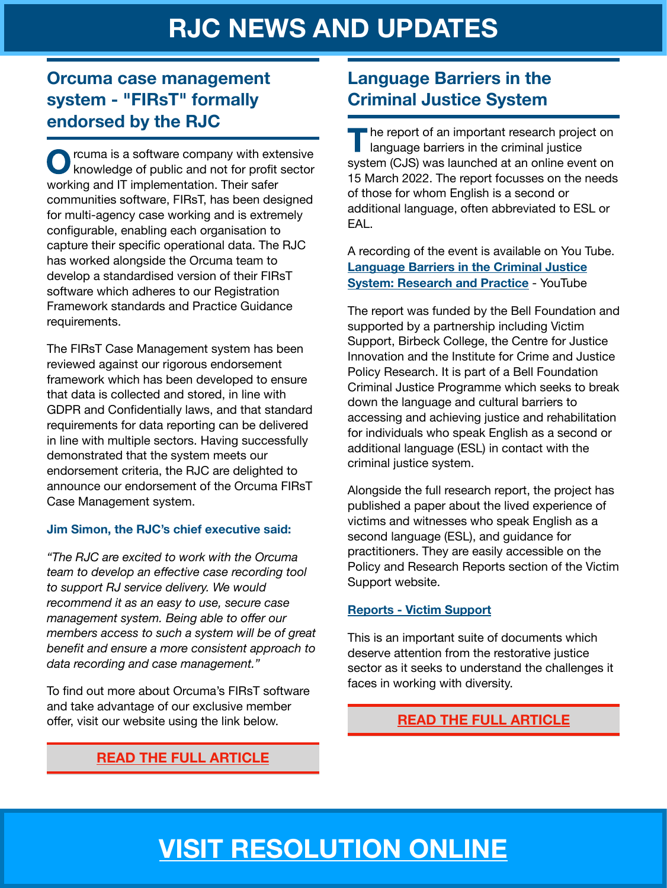#### <span id="page-1-0"></span>**Orcuma case management system - "FIRsT" formally endorsed by the RJC**

rcuma is a software company with extensive knowledge of public and not for profit sector working and IT implementation. Their safer communities software, FIRsT, has been designed for multi-agency case working and is extremely configurable, enabling each organisation to capture their specific operational data. The RJC has worked alongside the Orcuma team to develop a standardised version of their FIRsT software which adheres to our Registration Framework standards and Practice Guidance requirements.

The FIRsT Case Management system has been reviewed against our rigorous endorsement framework which has been developed to ensure that data is collected and stored, in line with GDPR and Confidentially laws, and that standard requirements for data reporting can be delivered in line with multiple sectors. Having successfully demonstrated that the system meets our endorsement criteria, the RJC are delighted to announce our endorsement of the Orcuma FIRsT Case Management system.

#### **Jim Simon, the RJC's chief executive said:**

*"The RJC are excited to work with the Orcuma team to develop an effective case recording tool to support RJ service delivery. We would recommend it as an easy to use, secure case management system. Being able to offer our members access to such a system will be of great benefit and ensure a more consistent approach to data recording and case management."* 

To find out more about Orcuma's FIRsT software and take advantage of our exclusive member offer, visit our website using the link below.

#### **Language Barriers in the Criminal Justice System**

**T**he report of an important research project on language barriers in the criminal justice system (CJS) was launched at an online event on 15 March 2022. The report focusses on the needs of those for whom English is a second or additional language, often abbreviated to ESL or EAL.

A recording of the event is available on You Tube. **[Language Barriers in the Criminal Justice](https://www.youtube.com/watch?v=14NWqqEF16I)  [System: Research and Practice](https://www.youtube.com/watch?v=14NWqqEF16I) - YouTube** 

The report was funded by the Bell Foundation and supported by a partnership including Victim Support, Birbeck College, the Centre for Justice Innovation and the Institute for Crime and Justice Policy Research. It is part of a Bell Foundation Criminal Justice Programme which seeks to break down the language and cultural barriers to accessing and achieving justice and rehabilitation for individuals who speak English as a second or additional language (ESL) in contact with the criminal justice system.

Alongside the full research report, the project has published a paper about the lived experience of victims and witnesses who speak English as a second language (ESL), and guidance for practitioners. They are easily accessible on the Policy and Research Reports section of the Victim Support website.

#### **[Reports - Victim Support](https://www.victimsupport.org.uk/more-us/policy-and-research/reports/)**

This is an important suite of documents which deserve attention from the restorative justice sector as it seeks to understand the challenges it faces in working with diversity.

#### **[READ THE FULL ARTICLE](https://restorativejustice.org.uk/blog/language-barriers-criminal-justice-system)**

#### **[READ THE FULL ARTICLE](https://restorativejustice.org.uk/blog/orcuma-case-management-system-first-formally-endorsed-rjc)**

## **[VISIT RESOLUTION ONLINE](https://restorativejustice.org.uk/resolution-online)**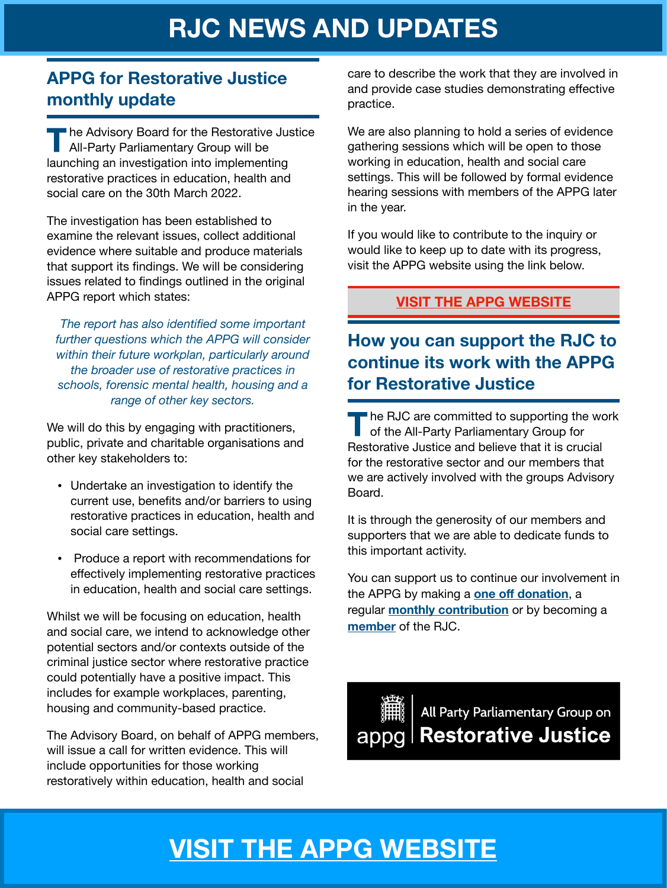#### <span id="page-2-0"></span>**APPG for Restorative Justice monthly update**

**T**he Advisory Board for the Restorative Justice All-Party Parliamentary Group will be launching an investigation into implementing restorative practices in education, health and social care on the 30th March 2022.

The investigation has been established to examine the relevant issues, collect additional evidence where suitable and produce materials that support its findings. We will be considering issues related to findings outlined in the original APPG report which states:

*The report has also identified some important further questions which the APPG will consider within their future workplan, particularly around the broader use of restorative practices in schools, forensic mental health, housing and a range of other key sectors.* 

We will do this by engaging with practitioners, public, private and charitable organisations and other key stakeholders to:

- Undertake an investigation to identify the current use, benefits and/or barriers to using restorative practices in education, health and social care settings.
- Produce a report with recommendations for effectively implementing restorative practices in education, health and social care settings.

Whilst we will be focusing on education, health and social care, we intend to acknowledge other potential sectors and/or contexts outside of the criminal justice sector where restorative practice could potentially have a positive impact. This includes for example workplaces, parenting, housing and community-based practice.

The Advisory Board, on behalf of APPG members, will issue a call for written evidence. This will include opportunities for those working restoratively within education, health and social

care to describe the work that they are involved in and provide case studies demonstrating effective practice.

We are also planning to hold a series of evidence gathering sessions which will be open to those working in education, health and social care settings. This will be followed by formal evidence hearing sessions with members of the APPG later in the year.

If you would like to contribute to the inquiry or would like to keep up to date with its progress, visit the APPG website using the link below.

#### **[VISIT THE APPG WEBSITE](https://rjappg.co.uk)**

#### **How you can support the RJC to continue its work with the APPG for Restorative Justice**

**T**he RJC are committed to supporting the work of the All-Party Parliamentary Group for Restorative Justice and believe that it is crucial for the restorative sector and our members that we are actively involved with the groups Advisory Board.

It is through the generosity of our members and supporters that we are able to dedicate funds to this important activity.

You can support us to continue our involvement in the APPG by making a **one off [donation](https://restorativejustice.org.uk/civicrm/contribute/transact?reset=1&id=21)**, a regular **[monthly contribution](https://restorativejustice.org.uk/civicrm/contribute/transact?reset=1&id=20)** or by becoming a **[member](https://restorativejustice.org.uk/restorative-justice-council-membership)** of the RJC.

All Party Parliamentary Group on appg | Restorative Justice

## **[VISIT THE APPG WEBSITE](https://rjappg.co.uk)**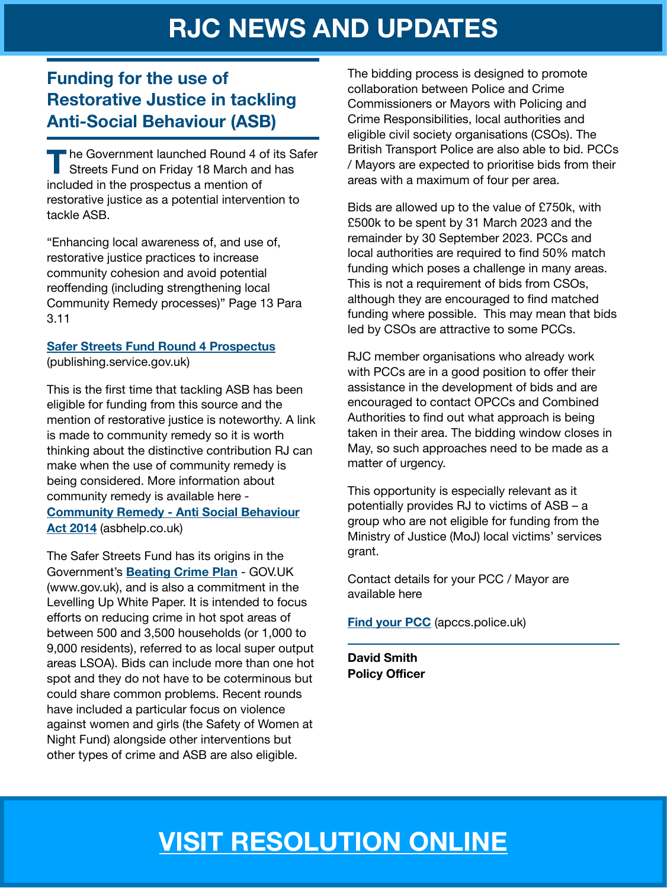#### <span id="page-3-0"></span>**Funding for the use of Restorative Justice in tackling Anti-Social Behaviour (ASB)**

**T**he Government launched Round 4 of its Safer Streets Fund on Friday 18 March and has included in the prospectus a mention of restorative justice as a potential intervention to tackle ASB.

"Enhancing local awareness of, and use of, restorative justice practices to increase community cohesion and avoid potential reoffending (including strengthening local Community Remedy processes)" Page 13 Para 3.11

#### **[Safer Streets Fund Round 4 Prospectus](https://assets.publishing.service.gov.uk/government/uploads/system/uploads/attachment_data/file/1061684/20220317_SSFR4_-_prospectus.pdf)**

(publishing.service.gov.uk)

This is the first time that tackling ASB has been eligible for funding from this source and the mention of restorative justice is noteworthy. A link is made to community remedy so it is worth thinking about the distinctive contribution RJ can make when the use of community remedy is being considered. More information about community remedy is available here - **[Community Remedy - Anti Social Behaviour](https://asbhelp.co.uk/non-legal-and-legal-tools-and-powers/community-remedy-2/)  [Act 2014](https://asbhelp.co.uk/non-legal-and-legal-tools-and-powers/community-remedy-2/)** (asbhelp.co.uk)

The Safer Streets Fund has its origins in the Government's **[Beating Crime Plan](https://www.gov.uk/government/publications/beating-crime-plan?msclkid=a09b459da9c911ec918a5f96b9f03fe8)** - GOV.UK (www.gov.uk), and is also a commitment in the Levelling Up White Paper. It is intended to focus efforts on reducing crime in hot spot areas of between 500 and 3,500 households (or 1,000 to 9,000 residents), referred to as local super output areas LSOA). Bids can include more than one hot spot and they do not have to be coterminous but could share common problems. Recent rounds have included a particular focus on violence against women and girls (the Safety of Women at Night Fund) alongside other interventions but other types of crime and ASB are also eligible.

The bidding process is designed to promote collaboration between Police and Crime Commissioners or Mayors with Policing and Crime Responsibilities, local authorities and eligible civil society organisations (CSOs). The British Transport Police are also able to bid. PCCs / Mayors are expected to prioritise bids from their areas with a maximum of four per area.

Bids are allowed up to the value of £750k, with £500k to be spent by 31 March 2023 and the remainder by 30 September 2023. PCCs and local authorities are required to find 50% match funding which poses a challenge in many areas. This is not a requirement of bids from CSOs, although they are encouraged to find matched funding where possible. This may mean that bids led by CSOs are attractive to some PCCs.

RJC member organisations who already work with PCCs are in a good position to offer their assistance in the development of bids and are encouraged to contact OPCCs and Combined Authorities to find out what approach is being taken in their area. The bidding window closes in May, so such approaches need to be made as a matter of urgency.

This opportunity is especially relevant as it potentially provides RJ to victims of ASB – a group who are not eligible for funding from the Ministry of Justice (MoJ) local victims' services grant.

Contact details for your PCC / Mayor are available here

#### **[Find your PCC](https://apccs.police.uk/find-your-pcc/?msclkid=d060b9aea9cc11ecaea552f29bbd487f)** (apccs.police.uk)

**David Smith Policy Officer** 

## **[VISIT RESOLUTION ONLINE](https://restorativejustice.org.uk/resolution-online)**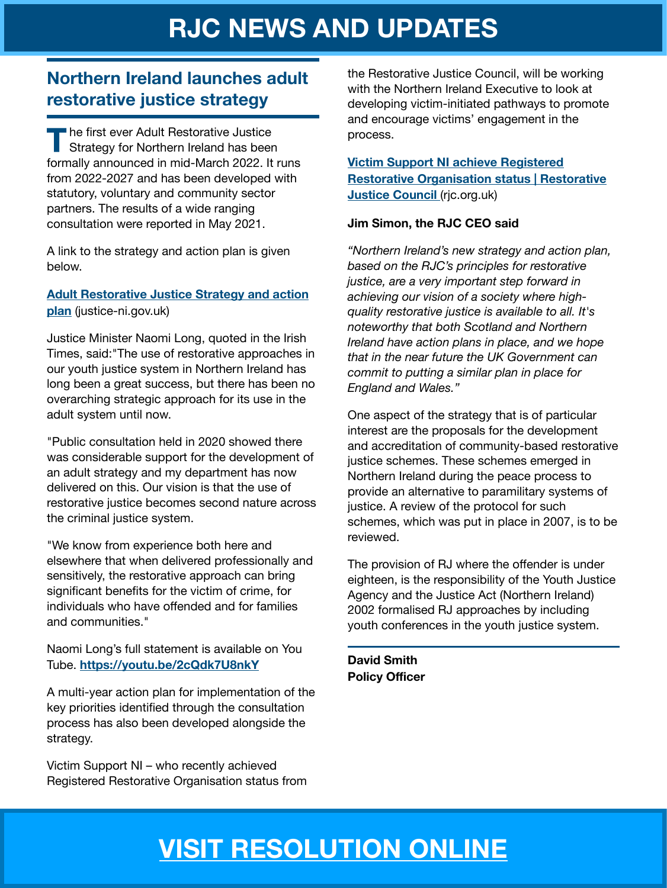#### **Northern Ireland launches adult restorative justice strategy**

**T** he first ever Adult Restorative Justice<br>Strategy for Northern Ireland has been formally announced in mid-March 2022. It runs from 2022-2027 and has been developed with statutory, voluntary and community sector partners. The results of a wide ranging consultation were reported in May 2021.

A link to the strategy and action plan is given below.

#### **[Adult Restorative Justice Strategy and action](https://www.justice-ni.gov.uk/sites/default/files/publications/justice/adult%20restorative%20justice%20strategy%20and%20action%20plan.pdf)  [plan](https://www.justice-ni.gov.uk/sites/default/files/publications/justice/adult%20restorative%20justice%20strategy%20and%20action%20plan.pdf)** (justice-ni.gov.uk)

Justice Minister Naomi Long, quoted in the Irish Times, said:"The use of restorative approaches in our youth justice system in Northern Ireland has long been a great success, but there has been no overarching strategic approach for its use in the adult system until now.

"Public consultation held in 2020 showed there was considerable support for the development of an adult strategy and my department has now delivered on this. Our vision is that the use of restorative justice becomes second nature across the criminal justice system.

"We know from experience both here and elsewhere that when delivered professionally and sensitively, the restorative approach can bring significant benefits for the victim of crime, for individuals who have offended and for families and communities."

Naomi Long's full statement is available on You Tube. **<https://youtu.be/2cQdk7U8nkY>**

A multi-year action plan for implementation of the key priorities identified through the consultation process has also been developed alongside the strategy.

Victim Support NI – who recently achieved Registered Restorative Organisation status from the Restorative Justice Council, will be working with the Northern Ireland Executive to look at developing victim-initiated pathways to promote and encourage victims' engagement in the process.

#### **[Victim Support NI achieve Registered](https://rjc.org.uk/blog/victim-support-ni-achieve-registered-restorative-organisation-status?msclkid=5de375f9ab5111ec89bfc466fc9463a3)  [Restorative Organisation status | Restorative](https://rjc.org.uk/blog/victim-support-ni-achieve-registered-restorative-organisation-status?msclkid=5de375f9ab5111ec89bfc466fc9463a3)  [Justice Council](https://rjc.org.uk/blog/victim-support-ni-achieve-registered-restorative-organisation-status?msclkid=5de375f9ab5111ec89bfc466fc9463a3) (rjc.org.uk)**

#### **Jim Simon, the RJC CEO said**

*"Northern Ireland's new strategy and action plan, based on the RJC's principles for restorative justice, are a very important step forward in achieving our vision of a society where highquality restorative justice is available to all. It's noteworthy that both Scotland and Northern Ireland have action plans in place, and we hope that in the near future the UK Government can commit to putting a similar plan in place for England and Wales."* 

One aspect of the strategy that is of particular interest are the proposals for the development and accreditation of community-based restorative justice schemes. These schemes emerged in Northern Ireland during the peace process to provide an alternative to paramilitary systems of justice. A review of the protocol for such schemes, which was put in place in 2007, is to be reviewed.

The provision of RJ where the offender is under eighteen, is the responsibility of the Youth Justice Agency and the Justice Act (Northern Ireland) 2002 formalised RJ approaches by including youth conferences in the youth justice system.

**David Smith Policy Officer** 

## **[VISIT RESOLUTION ONLINE](https://restorativejustice.org.uk/resolution-online)**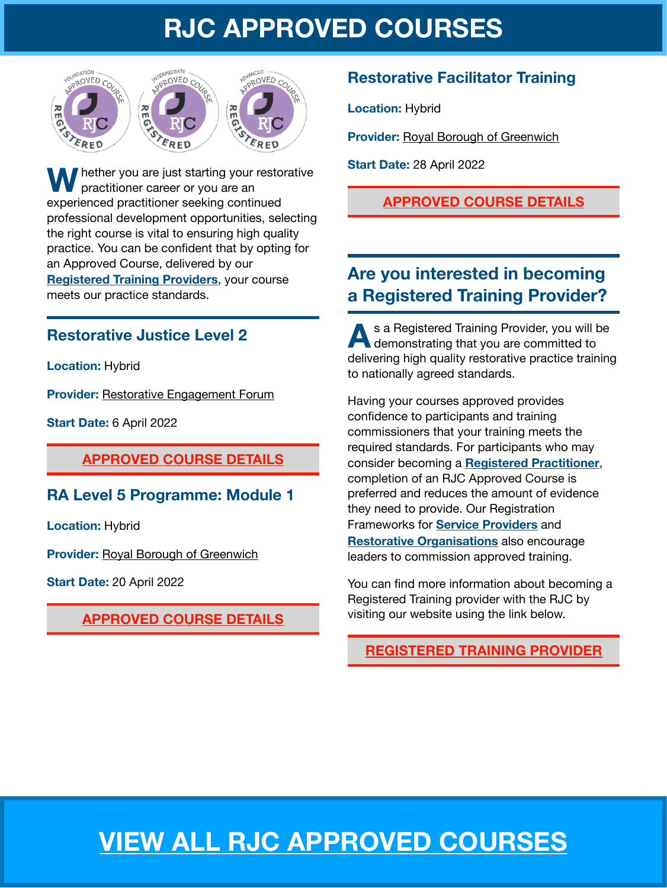## **RJC APPROVED COURSES**



<span id="page-5-0"></span>**hether you are just starting your restorative** practitioner career or you are an experienced practitioner seeking continued professional development opportunities, selecting the right course is vital to ensuring high quality practice. You can be confident that by opting for an Approved Course, delivered by our **[Registered Training Providers](https://restorativejustice.org.uk/registered-training-providers)**, your course meets our practice standards.

#### **Restorative Justice Level 2**

**Location:** Hybrid

**Provider:** [Restorative Engagement Forum](https://restorativejustice.org.uk/trainers-register/8188)

**Start Date:** 6 April 2022

#### **[APPROVED COURSE DETAILS](https://restorativejustice.org.uk/civicrm/event/info?id=563&reset=1)**

#### **RA Level 5 Programme: Module 1**

**Location:** Hybrid

**Provider:** [Royal Borough of Greenwich](https://restorativejustice.org.uk/trainers-register/1666)

**Start Date:** 20 April 2022

#### **[APPROVED COURSE DETAILS](https://restorativejustice.org.uk/civicrm/event/info?id=558&reset=1)**

#### **Restorative Facilitator Training**

**Location:** Hybrid

**Provider: [Royal Borough of Greenwich](https://restorativejustice.org.uk/trainers-register/1666)** 

**Start Date:** 28 April 2022

#### **[APPROVED COURSE DETAILS](https://restorativejustice.org.uk/civicrm/event/info?id=559&reset=1)**

#### **Are you interested in becoming a Registered Training Provider?**

**A**s a Registered Training Provider, you will be demonstrating that you are committed to delivering high quality restorative practice training to nationally agreed standards.

Having your courses approved provides confidence to participants and training commissioners that your training meets the required standards. For participants who may consider becoming a **[Registered Practitioner](https://restorativejustice.org.uk/registered-practitioner)**, completion of an RJC Approved Course is preferred and reduces the amount of evidence they need to provide. Our Registration Frameworks for **[Service Providers](https://restorativejustice.org.uk/registered-service-provider)** and **[Restorative Organisations](https://restorativejustice.org.uk/registered-restorative-organisation)** also encourage leaders to commission approved training.

You can find more information about becoming a Registered Training provider with the RJC by visiting our website using the link below.

#### **REGISTERED TRAINING PROVIDER**

## **[VIEW ALL RJC APPROVED COURSES](https://restorativejustice.org.uk/approved-training-courses)**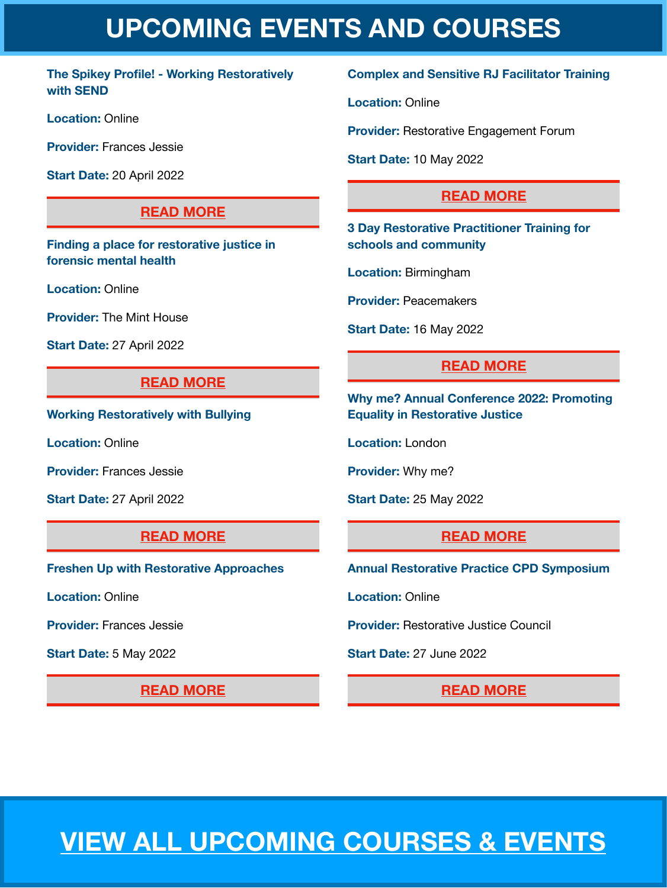## **UPCOMING EVENTS AND COURSES**

#### <span id="page-6-0"></span>**The Spikey Profile! - Working Restoratively with SEND**

**Location:** Online

**Provider:** Frances Jessie

**Start Date:** 20 April 2022

#### **[READ MORE](https://restorativejustice.org.uk/civicrm/event/info?id=566&reset=1)**

**Finding a place for restorative justice in forensic mental health** 

**Location:** Online

**Provider:** The Mint House

**Start Date:** 27 April 2022

#### **[READ MORE](https://restorativejustice.org.uk/civicrm/event/info?id=557&reset=1)**

**Working Restoratively with Bullying** 

**Location:** Online

**Provider:** Frances Jessie

**Start Date:** 27 April 2022

#### **[READ MORE](https://restorativejustice.org.uk/civicrm/event/info?id=567&reset=1)**

**Freshen Up with Restorative Approaches** 

**Location:** Online

**Provider:** Frances Jessie

**Start Date:** 5 May 2022

**[READ MORE](https://restorativejustice.org.uk/civicrm/event/info?id=568&reset=1)** 

#### **Complex and Sensitive RJ Facilitator Training**

**Location:** Online

**Provider:** Restorative Engagement Forum

**Start Date:** 10 May 2022

#### **[READ MORE](https://restorativejustice.org.uk/civicrm/event/info?id=562&reset=1)**

**3 Day Restorative Practitioner Training for schools and community** 

**Location:** Birmingham

**Provider:** Peacemakers

**Start Date:** 16 May 2022

#### **[READ MORE](https://restorativejustice.org.uk/civicrm/event/info?id=561&reset=1)**

**Why me? Annual Conference 2022: Promoting Equality in Restorative Justice** 

**Location:** London

**Provider:** Why me?

**Start Date:** 25 May 2022

#### **[READ MORE](https://restorativejustice.org.uk/civicrm/event/info?id=547&reset=1)**

**Annual Restorative Practice CPD Symposium** 

**Location:** Online

**Provider:** Restorative Justice Council

**Start Date:** 27 June 2022

#### **[READ MORE](https://restorativejustice.org.uk/civicrm/event/info?id=550&reset=1)**

## **[VIEW ALL UPCOMING COURSES & EVENTS](https://restorativejustice.org.uk/events)**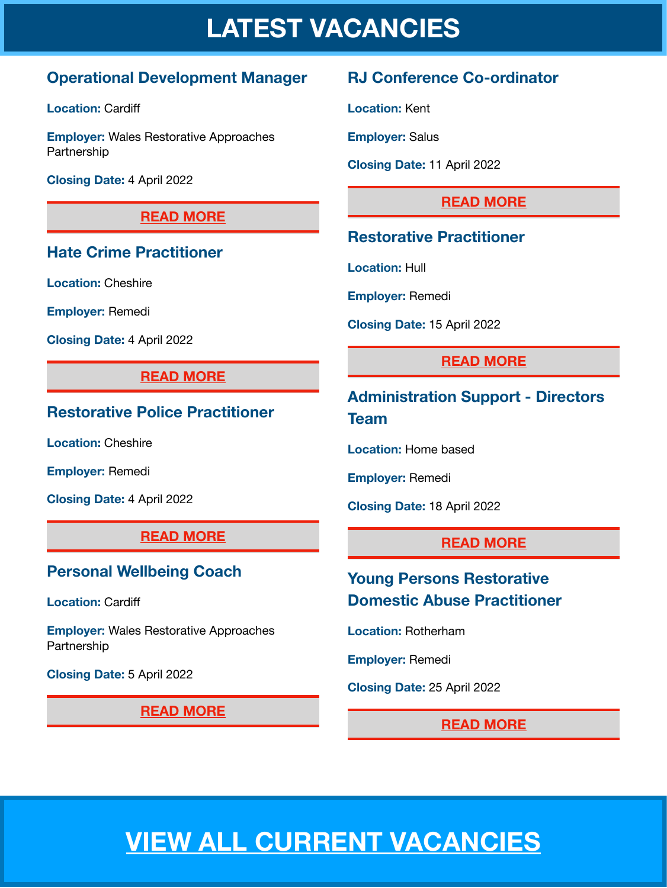## **LATEST VACANCIES**

#### <span id="page-7-0"></span>**Operational Development Manager**

**Location: Cardiff** 

**Employer:** Wales Restorative Approaches Partnership

**Closing Date:** 4 April 2022

#### **[READ MORE](https://restorativejustice.org.uk/news/operational-development-manager)**

#### **Hate Crime Practitioner**

**Location:** Cheshire

**Employer:** Remedi

**Closing Date:** 4 April 2022

#### **[READ MORE](https://restorativejustice.org.uk/news/hate-crime-practitioner-cheshire-0)**

#### **Restorative Police Practitioner**

**Location:** Cheshire

**Employer:** Remedi

**Closing Date:** 4 April 2022

#### **[READ MORE](https://restorativejustice.org.uk/news/restorative-police-practitioner-cheshire-0)**

#### **Personal Wellbeing Coach**

**Location: Cardiff** 

**Employer:** Wales Restorative Approaches Partnership

**Closing Date:** 5 April 2022

**READ MORE** 

#### **RJ Conference Co-ordinator**

**Location:** Kent

**Employer:** Salus

**Closing Date:** 11 April 2022

#### **[READ MORE](https://restorativejustice.org.uk/news/restorative-justice-conference-co-ordinator)**

#### **Restorative Practitioner**

**Location:** Hull

**Employer:** Remedi

**Closing Date:** 15 April 2022

#### **[READ MORE](https://restorativejustice.org.uk/news/restorative-practitioner-hull)**

**Administration Support - Directors Team** 

**Location:** Home based

**Employer:** Remedi

**Closing Date:** 18 April 2022

#### **[READ MORE](https://restorativejustice.org.uk/news/administration-support-directors-team)**

#### **Young Persons Restorative Domestic Abuse Practitioner**

**Location:** Rotherham

**Employer:** Remedi

**Closing Date:** 25 April 2022

#### **[READ MORE](https://restorativejustice.org.uk/news/young-persons-restorative-domestic-abuse-practitioner)**

## **[VIEW ALL CURRENT VACANCIES](https://restorativejustice.org.uk/vacancies)**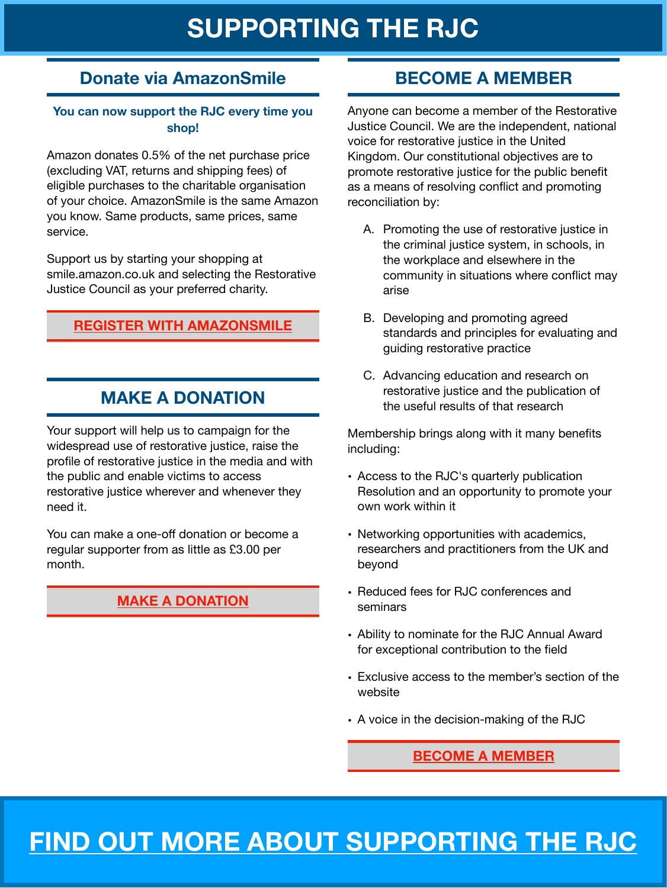## **SUPPORTING THE RJC**

#### **Donate via AmazonSmile**

#### **You can now support the RJC every time you shop!**

Amazon donates 0.5% of the net purchase price (excluding VAT, returns and shipping fees) of eligible purchases to the charitable organisation of your choice. AmazonSmile is the same Amazon you know. Same products, same prices, same service.

Support us by starting your shopping at smile.amazon.co.uk and selecting the Restorative Justice Council as your preferred charity.

#### **[REGISTER WITH AMAZONSMILE](https://smile.amazon.co.uk/gp/chpf/homepage?orig=/)**

#### **MAKE A DONATION**

Your support will help us to campaign for the widespread use of restorative justice, raise the profile of restorative justice in the media and with the public and enable victims to access restorative justice wherever and whenever they need it.

You can make a one-off donation or become a regular supporter from as little as £3.00 per month.

#### **[MAKE A DONATION](https://restorativejustice.org.uk/donation)**

#### **BECOME A MEMBER**

Anyone can become a member of the Restorative Justice Council. We are the independent, national voice for restorative justice in the United Kingdom. Our constitutional objectives are to promote restorative justice for the public benefit as a means of resolving conflict and promoting reconciliation by:

- A. Promoting the use of restorative justice in the criminal justice system, in schools, in the workplace and elsewhere in the community in situations where conflict may arise
- B. Developing and promoting agreed standards and principles for evaluating and guiding restorative practice
- C. Advancing education and research on restorative justice and the publication of the useful results of that research

Membership brings along with it many benefits including:

- Access to the RJC's quarterly publication Resolution and an opportunity to promote your own work within it
- Networking opportunities with academics, researchers and practitioners from the UK and beyond
- Reduced fees for RJC conferences and seminars
- Ability to nominate for the RJC Annual Award for exceptional contribution to the field
- Exclusive access to the member's section of the website
- A voice in the decision-making of the RJC

#### **[BECOME A MEMBER](https://restorativejustice.org.uk/restorative-justice-council-membership)**

## **[FIND OUT MORE ABOUT SUPPORTING THE RJC](https://restorativejustice.org.uk/restorative-justice-council-membership)**